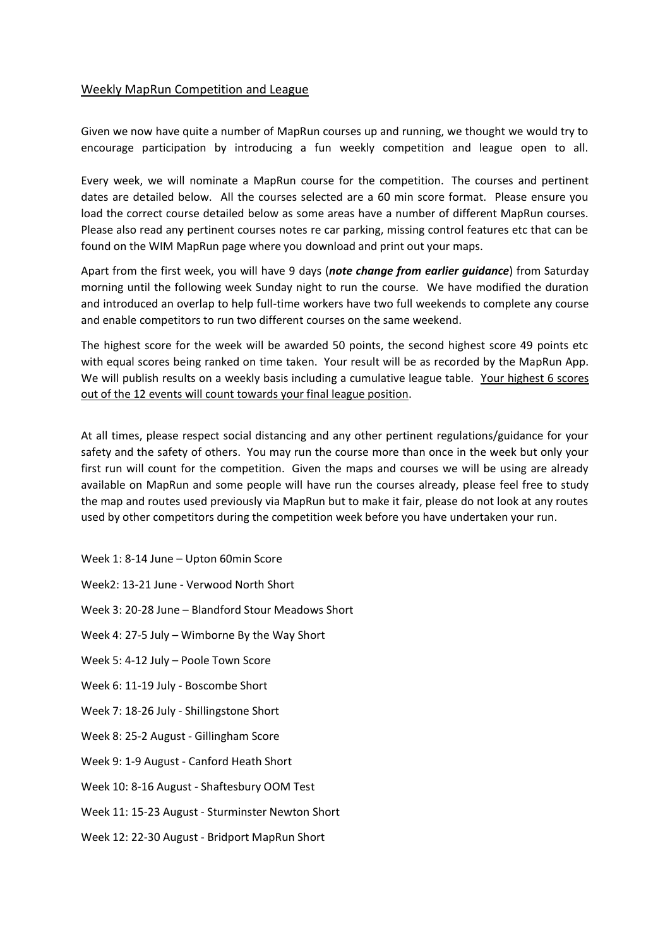## Weekly MapRun Competition and League

Given we now have quite a number of MapRun courses up and running, we thought we would try to encourage participation by introducing a fun weekly competition and league open to all.

Every week, we will nominate a MapRun course for the competition. The courses and pertinent dates are detailed below. All the courses selected are a 60 min score format. Please ensure you load the correct course detailed below as some areas have a number of different MapRun courses. Please also read any pertinent courses notes re car parking, missing control features etc that can be found on the WIM MapRun page where you download and print out your maps.

Apart from the first week, you will have 9 days (*note change from earlier guidance*) from Saturday morning until the following week Sunday night to run the course. We have modified the duration and introduced an overlap to help full-time workers have two full weekends to complete any course and enable competitors to run two different courses on the same weekend.

The highest score for the week will be awarded 50 points, the second highest score 49 points etc with equal scores being ranked on time taken. Your result will be as recorded by the MapRun App. We will publish results on a weekly basis including a cumulative league table. Your highest 6 scores out of the 12 events will count towards your final league position.

At all times, please respect social distancing and any other pertinent regulations/guidance for your safety and the safety of others. You may run the course more than once in the week but only your first run will count for the competition. Given the maps and courses we will be using are already available on MapRun and some people will have run the courses already, please feel free to study the map and routes used previously via MapRun but to make it fair, please do not look at any routes used by other competitors during the competition week before you have undertaken your run.

Week 1: 8-14 June – Upton 60min Score